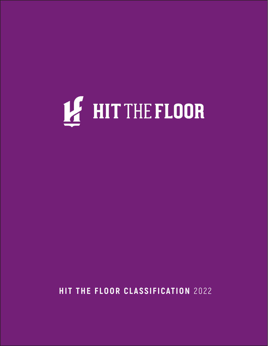

 **HIT THE FLOOR CLASSIFICATION** 2022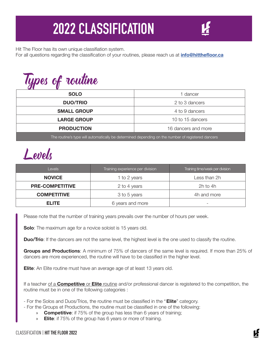## **2022 CLASSIFICATION**

Hit The Floor has its own unique classifiation system.

For all questions regarding the classification of your routines, please reach us at **info@hitthefloor.ca**

| Types of routine                                                                                  |                     |
|---------------------------------------------------------------------------------------------------|---------------------|
| <b>SOLO</b>                                                                                       | 1 dancer            |
| <b>DUO/TRIO</b>                                                                                   | 2 to 3 dancers      |
| <b>SMALL GROUP</b>                                                                                | 4 to 9 dancers      |
| <b>LARGE GROUP</b>                                                                                | 10 to 15 dancers    |
| <b>PRODUCTION</b>                                                                                 | 16 dancers and more |
| The routine's type will automatically be determined depending on the number of registered dancers |                     |

Levels

| <b>Levels</b>                    | Training experience per division | Training time/week per division |
|----------------------------------|----------------------------------|---------------------------------|
| <b>NOVICE</b>                    | 1 to 2 years                     | Less than 2h                    |
| <b>PRE-COMPETITIVE</b>           | 2 to 4 years                     | 2h to 4h                        |
| <b>COMPETITIVE</b>               | 3 to 5 years                     | 4h and more                     |
| <b>ELITE</b><br>6 years and more |                                  | $\overline{\phantom{0}}$        |

Please note that the number of training years prevails over the number of hours per week.

**Solo**: The maximum age for a novice soloist is 15 years old.

**Duo/Trio**: If the dancers are not the same level, the highest level is the one used to classify the routine.

**Groups and Productions**: A minimum of 75% of dancers of the same level is required. If more than 25% of dancers are more experienced, the routine will have to be classified in the higher level.

**Elite**: An Elite routine must have an average age of at least 13 years old.

If a teacher of a **Competitive** or **Elite** routine and/or professional dancer is registered to the competition, the routine must be in one of the following categories :

- For the Solos and Duos/Trios, the routine must be classified in the "**Elite**" category.
- For the Groups et Productions, the routine must be classified in one of the following:
	- » **Competitive**: if 75% of the group has less than 6 years of training;
	- » **Elite**: if 75% of the group has 6 years or more of training.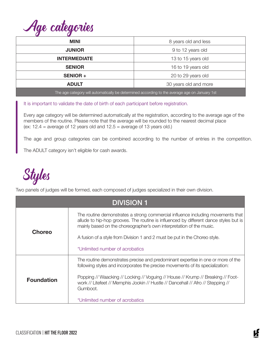| Age categories |
|----------------|
|                |

| <b>MINI</b>                                                                                   | 8 years old and less  |
|-----------------------------------------------------------------------------------------------|-----------------------|
| <b>JUNIOR</b>                                                                                 | 9 to 12 years old     |
| <b>INTERMEDIATE</b>                                                                           | 13 to 15 years old    |
| <b>SENIOR</b>                                                                                 | 16 to 19 years old    |
| <b>SENIOR+</b>                                                                                | 20 to 29 years old    |
| <b>ADULT</b>                                                                                  | 30 years old and more |
| The age category will automatically be determined according to the average age on January 1st |                       |

It is important to validate the date of birth of each participant before registration.

Every age category will be determined automatically at the registration, according to the average age of the members of the routine. Please note that the average will be rounded to the nearest decimal place (ex:  $12.4$  = average of 12 years old and  $12.5$  = average of 13 years old.)

The age and group categories can be combined according to the number of entries in the competition.

The ADULT category isn't eligible for cash awards.



Two panels of judges will be formed, each composed of judges specialized in their own division.

| <b>DIVISION 1</b> |                                                                                                                                                                                                                                                                                                                                                                                           |  |
|-------------------|-------------------------------------------------------------------------------------------------------------------------------------------------------------------------------------------------------------------------------------------------------------------------------------------------------------------------------------------------------------------------------------------|--|
| <b>Choreo</b>     | The routine demonstrates a strong commercial influence including movements that<br>allude to hip-hop grooves. The routine is influenced by different dance styles but is<br>mainly based on the choreographer's own interpretation of the music.<br>A fusion of a style from Division 1 and 2 must be put in the Choreo style.<br>*Unlimited number of acrobatics                         |  |
| <b>Foundation</b> | The routine demonstrates precise and predominant expertise in one or more of the<br>following styles and incorporates the precise movements of its specialization:<br>Popping // Waacking // Locking // Voguing // House // Krump // Breaking // Foot-<br>work // Litefeet // Memphis Jookin // Hustle // Dancehall // Afro // Stepping //<br>Gumboot.<br>*Unlimited number of acrobatics |  |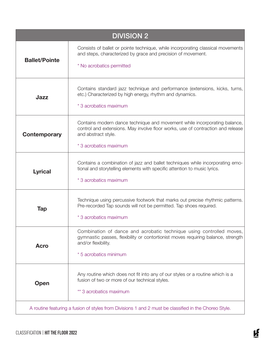| <b>DIVISION 2</b>    |                                                                                                                                                                                                               |  |
|----------------------|---------------------------------------------------------------------------------------------------------------------------------------------------------------------------------------------------------------|--|
| <b>Ballet/Pointe</b> | Consists of ballet or pointe technique, while incorporating classical movements<br>and steps, characterized by grace and precision of movement.<br>* No acrobatics permitted                                  |  |
| Jazz                 | Contains standard jazz technique and performance (extensions, kicks, turns,<br>etc.) Characterized by high energy, rhythm and dynamics.<br>* 3 acrobatics maximum                                             |  |
| <b>Contemporary</b>  | Contains modern dance technique and movement while incorporating balance,<br>control and extensions. May involve floor works, use of contraction and release<br>and abstract style.<br>* 3 acrobatics maximum |  |
| <b>Lyrical</b>       | Contains a combination of jazz and ballet techniques while incorporating emo-<br>tional and storytelling elements with specific attention to music lyrics.<br>* 3 acrobatics maximum                          |  |
| Tap                  | Technique using percussive footwork that marks out precise rhythmic patterns.<br>Pre-recorded Tap sounds will not be permitted. Tap shoes required.<br>* 3 acrobatics maximum                                 |  |
| <b>Acro</b>          | Combination of dance and acrobatic technique using controlled moves,<br>gymnastic passes, flexibility or contortionist moves requiring balance, strength<br>and/or flexibility.<br>* 5 acrobatics minimum     |  |
| Open                 | Any routine which does not fit into any of our styles or a routine which is a<br>fusion of two or more of our technical styles.<br>** 3 acrobatics maximum                                                    |  |
|                      | A routine featuring a fusion of styles from Divisions 1 and 2 must be classified in the Choreo Style.                                                                                                         |  |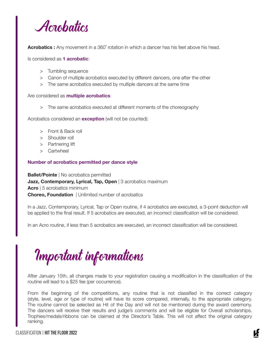

**Acrobatics :** Any movement in a 360˚ rotation in which a dancer has his feet above his head.

Is considered as **1 acrobatic**:

- > Tumbling sequence
- > Canon of multiple acrobatics executed by different dancers, one after the other
- > The same acrobatics executed by multiple dancers at the same time

Are considered as **multiple acrobatics**:

> The same acrobatics executed at different moments of the choreography

Acrobatics considered an **exception** (will not be counted):

- > Front & Back roll
- > Shoulder roll
- > Partnering lift
- > Cartwheel

## **Number of acrobatics permitted per dance style**

**Ballet/Pointe** | No acrobatics permitted **Jazz, Contemporary, Lyrical, Tap, Open** | 3 acrobatics maximum **Acro** | 5 acrobatics minimum **Choreo, Foundation** | Unlimited number of acrobatics

In a Jazz, Contemporary, Lyrical, Tap or Open routine, if 4 acrobatics are executed, a 3-point deduction will be applied to the final result. If 5 acrobatics are executed, an incorrect classification will be considered.

In an Acro routine, if less than 5 acrobatics are executed, an incorrect classification will be considered.

Important informations

After January 15th, all changes made to your registration causing a modification in the classification of the routine will lead to a \$25 fee (per occurrence).

From the beginning of the competitions, any routine that is not classified in the correct category (style, level, age or type of routine) will have its score compared, internally, to the appropriate category. The routine cannot be selected as Hit of the Day and will not be mentioned during the award ceremony. The dancers will receive their results and judge's comments and will be eligible for Overall scholarships. Trophies/medals/ribbons can be claimed at the Director's Table. This will not affect the original category ranking.